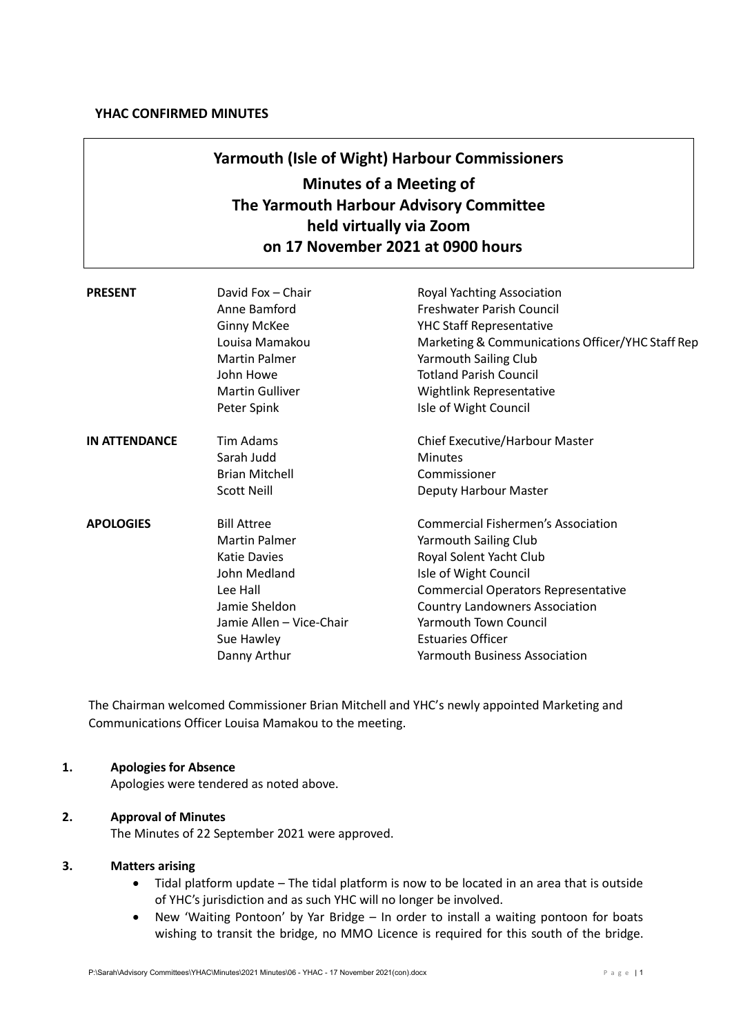# **Yarmouth (Isle of Wight) Harbour Commissioners Minutes of a Meeting of The Yarmouth Harbour Advisory Committee held virtually via Zoom on 17 November 2021 at 0900 hours**

| <b>PRESENT</b>       | David Fox - Chair<br>Anne Bamford<br><b>Ginny McKee</b><br>Louisa Mamakou<br><b>Martin Palmer</b><br>John Howe<br><b>Martin Gulliver</b><br>Peter Spink                  | Royal Yachting Association<br>Freshwater Parish Council<br><b>YHC Staff Representative</b><br>Marketing & Communications Officer/YHC Staff Rep<br>Yarmouth Sailing Club<br><b>Totland Parish Council</b><br><b>Wightlink Representative</b><br>Isle of Wight Council                                                     |
|----------------------|--------------------------------------------------------------------------------------------------------------------------------------------------------------------------|--------------------------------------------------------------------------------------------------------------------------------------------------------------------------------------------------------------------------------------------------------------------------------------------------------------------------|
| <b>IN ATTENDANCE</b> | Tim Adams<br>Sarah Judd<br><b>Brian Mitchell</b><br><b>Scott Neill</b>                                                                                                   | Chief Executive/Harbour Master<br><b>Minutes</b><br>Commissioner<br>Deputy Harbour Master                                                                                                                                                                                                                                |
| <b>APOLOGIES</b>     | <b>Bill Attree</b><br><b>Martin Palmer</b><br><b>Katie Davies</b><br>John Medland<br>Lee Hall<br>Jamie Sheldon<br>Jamie Allen - Vice-Chair<br>Sue Hawley<br>Danny Arthur | <b>Commercial Fishermen's Association</b><br><b>Yarmouth Sailing Club</b><br>Royal Solent Yacht Club<br>Isle of Wight Council<br><b>Commercial Operators Representative</b><br><b>Country Landowners Association</b><br><b>Yarmouth Town Council</b><br><b>Estuaries Officer</b><br><b>Yarmouth Business Association</b> |

The Chairman welcomed Commissioner Brian Mitchell and YHC's newly appointed Marketing and Communications Officer Louisa Mamakou to the meeting.

# **1. Apologies for Absence**

Apologies were tendered as noted above.

# **2. Approval of Minutes**

The Minutes of 22 September 2021 were approved.

# **3. Matters arising**

- Tidal platform update The tidal platform is now to be located in an area that is outside of YHC's jurisdiction and as such YHC will no longer be involved.
- New 'Waiting Pontoon' by Yar Bridge In order to install a waiting pontoon for boats wishing to transit the bridge, no MMO Licence is required for this south of the bridge.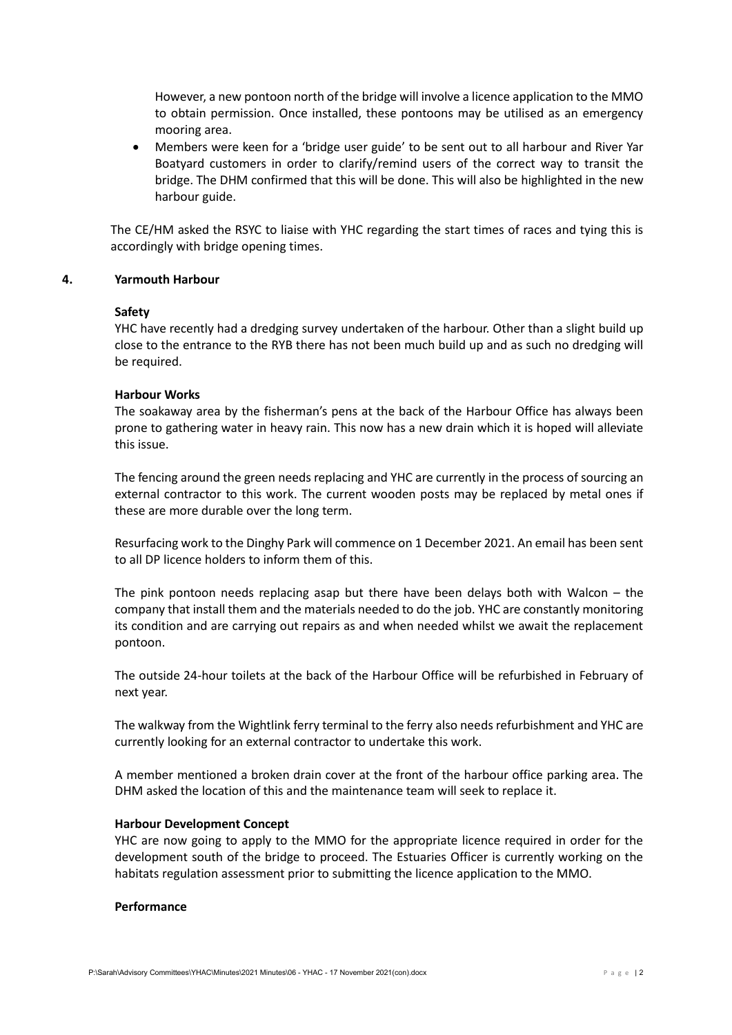However, a new pontoon north of the bridge will involve a licence application to the MMO to obtain permission. Once installed, these pontoons may be utilised as an emergency mooring area.

• Members were keen for a 'bridge user guide' to be sent out to all harbour and River Yar Boatyard customers in order to clarify/remind users of the correct way to transit the bridge. The DHM confirmed that this will be done. This will also be highlighted in the new harbour guide.

The CE/HM asked the RSYC to liaise with YHC regarding the start times of races and tying this is accordingly with bridge opening times.

## **4. Yarmouth Harbour**

#### **Safety**

YHC have recently had a dredging survey undertaken of the harbour. Other than a slight build up close to the entrance to the RYB there has not been much build up and as such no dredging will be required.

## **Harbour Works**

The soakaway area by the fisherman's pens at the back of the Harbour Office has always been prone to gathering water in heavy rain. This now has a new drain which it is hoped will alleviate this issue.

The fencing around the green needs replacing and YHC are currently in the process of sourcing an external contractor to this work. The current wooden posts may be replaced by metal ones if these are more durable over the long term.

Resurfacing work to the Dinghy Park will commence on 1 December 2021. An email has been sent to all DP licence holders to inform them of this.

The pink pontoon needs replacing asap but there have been delays both with Walcon – the company that install them and the materials needed to do the job. YHC are constantly monitoring its condition and are carrying out repairs as and when needed whilst we await the replacement pontoon.

The outside 24-hour toilets at the back of the Harbour Office will be refurbished in February of next year.

The walkway from the Wightlink ferry terminal to the ferry also needs refurbishment and YHC are currently looking for an external contractor to undertake this work.

A member mentioned a broken drain cover at the front of the harbour office parking area. The DHM asked the location of this and the maintenance team will seek to replace it.

#### **Harbour Development Concept**

YHC are now going to apply to the MMO for the appropriate licence required in order for the development south of the bridge to proceed. The Estuaries Officer is currently working on the habitats regulation assessment prior to submitting the licence application to the MMO.

#### **Performance**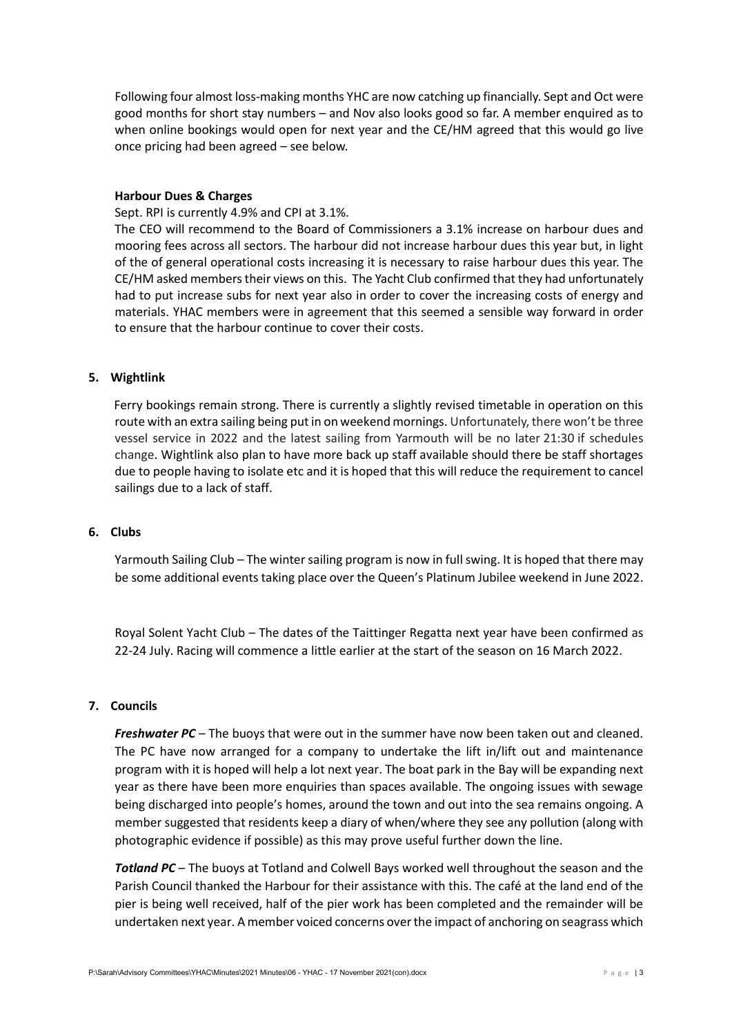Following four almost loss-making months YHC are now catching up financially. Sept and Oct were good months for short stay numbers – and Nov also looks good so far. A member enquired as to when online bookings would open for next year and the CE/HM agreed that this would go live once pricing had been agreed – see below.

#### **Harbour Dues & Charges**

Sept. RPI is currently 4.9% and CPI at 3.1%.

The CEO will recommend to the Board of Commissioners a 3.1% increase on harbour dues and mooring fees across all sectors. The harbour did not increase harbour dues this year but, in light of the of general operational costs increasing it is necessary to raise harbour dues this year. The CE/HM asked members their views on this. The Yacht Club confirmed that they had unfortunately had to put increase subs for next year also in order to cover the increasing costs of energy and materials. YHAC members were in agreement that this seemed a sensible way forward in order to ensure that the harbour continue to cover their costs.

#### **5. Wightlink**

Ferry bookings remain strong. There is currently a slightly revised timetable in operation on this route with an extra sailing being put in on weekend mornings. Unfortunately, there won't be three vessel service in 2022 and the latest sailing from Yarmouth will be no later 21:30 if schedules change. Wightlink also plan to have more back up staff available should there be staff shortages due to people having to isolate etc and it is hoped that this will reduce the requirement to cancel sailings due to a lack of staff.

# **6. Clubs**

Yarmouth Sailing Club – The winter sailing program is now in full swing. It is hoped that there may be some additional events taking place over the Queen's Platinum Jubilee weekend in June 2022.

Royal Solent Yacht Club – The dates of the Taittinger Regatta next year have been confirmed as 22-24 July. Racing will commence a little earlier at the start of the season on 16 March 2022.

#### **7. Councils**

**Freshwater PC** – The buoys that were out in the summer have now been taken out and cleaned. The PC have now arranged for a company to undertake the lift in/lift out and maintenance program with it is hoped will help a lot next year. The boat park in the Bay will be expanding next year as there have been more enquiries than spaces available. The ongoing issues with sewage being discharged into people's homes, around the town and out into the sea remains ongoing. A member suggested that residents keep a diary of when/where they see any pollution (along with photographic evidence if possible) as this may prove useful further down the line.

*Totland PC* – The buoys at Totland and Colwell Bays worked well throughout the season and the Parish Council thanked the Harbour for their assistance with this. The café at the land end of the pier is being well received, half of the pier work has been completed and the remainder will be undertaken next year. A member voiced concerns over the impact of anchoring on seagrass which